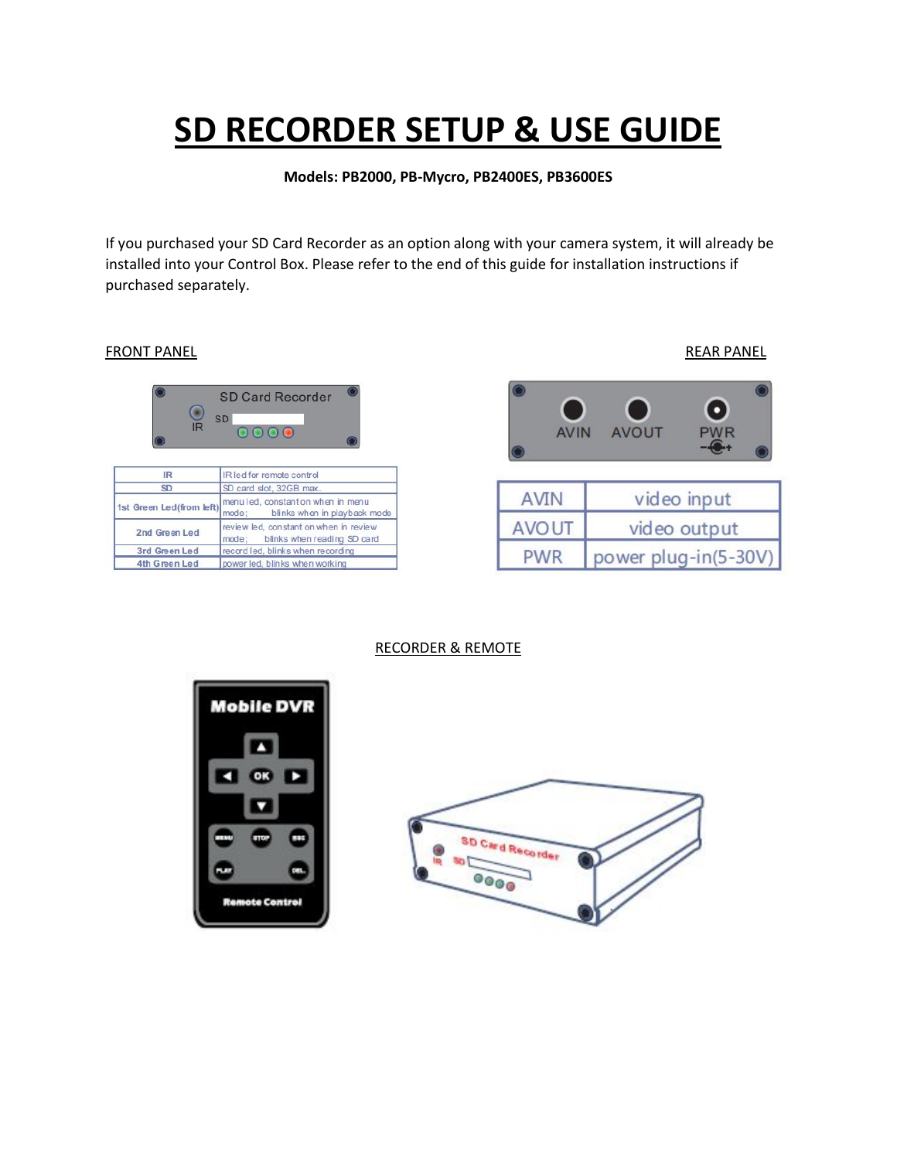# **SD RECORDER SETUP & USE GUIDE**

**Models: PB2000, PB-Mycro, PB2400ES, PB3600ES**

If you purchased your SD Card Recorder as an option along with your camera system, it will already be installed into your Control Box. Please refer to the end of this guide for installation instructions if purchased separately.

### FRONT PANEL **EXECUTE EXECUTE EXECUTE A REAR PANEL**



| <b>IR</b>                | IR led for remote control                                                   |  |  |  |  |
|--------------------------|-----------------------------------------------------------------------------|--|--|--|--|
| <b>SD</b>                | SD card slot, 32GB max.                                                     |  |  |  |  |
| 1st Green Led(from left) | menulled, constant on when in menu<br>mode; blinks when in playback mode    |  |  |  |  |
| 2nd Green Led            | review led, constant on when in review<br>mode: blinks when reading SD card |  |  |  |  |
| 3rd Green Led            | record led, blinks when recording                                           |  |  |  |  |
| 4th Green Led            | power led, blinks when working                                              |  |  |  |  |



power plug-in(5-30V)

RECORDER & REMOTE



**PWR** 

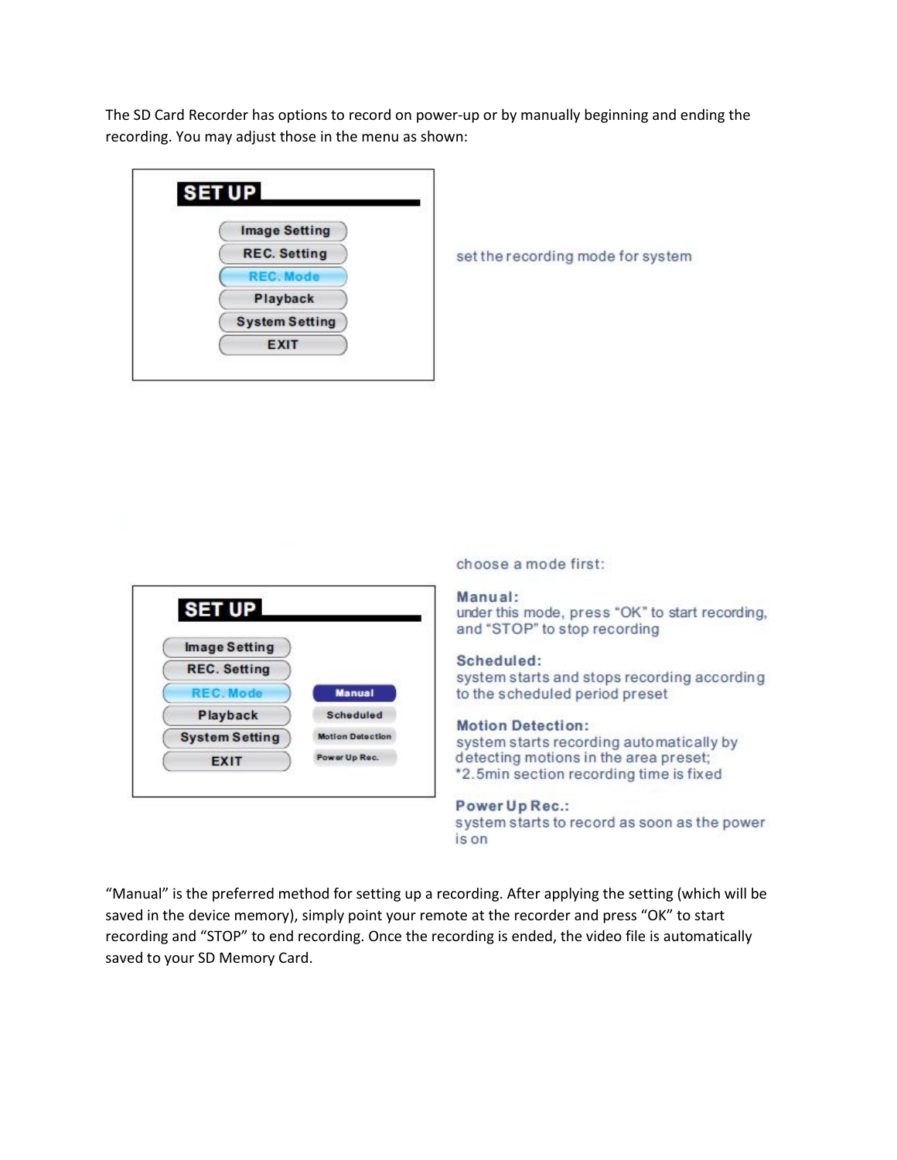The SD Card Recorder has options to record on power-up or by manually beginning and ending the recording. You may adjust those in the menu as shown:

| <b>SETUP</b>          |  |
|-----------------------|--|
| <b>Image Setting</b>  |  |
| <b>REC.</b> Setting   |  |
| <b>REC. Mode</b>      |  |
| Playback              |  |
| <b>System Setting</b> |  |
| <b>EXIT</b>           |  |

set the recording mode for system



choose a mode first:

#### Manual:

under this mode, press "OK" to start recording, and "STOP" to stop recording

### Scheduled:

system starts and stops recording according to the scheduled period preset

#### **Motion Detection:**

system starts recording automatically by detecting motions in the area preset; \*2.5min section recording time is fixed

#### Power Up Rec.:

system starts to record as soon as the power is on

"Manual" is the preferred method for setting up a recording. After applying the setting (which will be saved in the device memory), simply point your remote at the recorder and press "OK" to start recording and "STOP" to end recording. Once the recording is ended, the video file is automatically saved to your SD Memory Card.